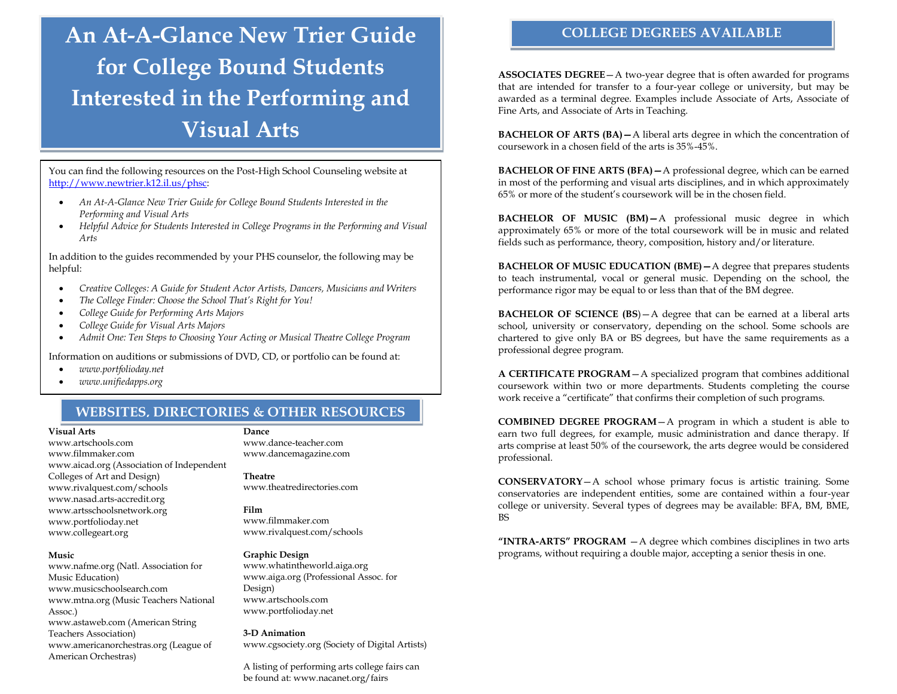# **An At-A-Glance New Trier Guide for College Bound Students Interested in the Performing and Visual Arts**

You can find the following resources on the Post-High School Counseling website at [http://www.newtrier.k12.il.us/phsc:](http://www.newtrier.k12.il.us/phsc) 

- *An At-A-Glance New Trier Guide for College Bound Students Interested in the Performing and Visual Arts*
- *Helpful Advice for Students Interested in College Programs in the Performing and Visual Arts*

In addition to the guides recommended by your PHS counselor, the following may be helpful:

- *Creative Colleges: A Guide for Student Actor Artists, Dancers, Musicians and Writers*
- *The College Finder: Choose the School That's Right for You!*
- *College Guide for Performing Arts Majors*
- *College Guide for Visual Arts Majors*
- *Admit One: Ten Steps to Choosing Your Acting or Musical Theatre College Program*

Information on auditions or submissions of DVD, CD, or portfolio can be found at:

- *www.portfolioday.net*
- *www.unifiedapps.org*

# **WEBSITES, DIRECTORIES & OTHER RESOURCES**

## **Visual Arts**

www.artschools.com www.filmmaker.com www.aicad.org (Association of Independent Colleges of Art and Design) www.rivalquest.com/schools www.nasad.arts-accredit.org www.artsschoolsnetwork.org www.portfolioday.net www.collegeart.org

#### **Music**

www.nafme.org (Natl. Association for Music Education) www.musicschoolsearch.com www.mtna.org (Music Teachers National Assoc.) www.astaweb.com (American String Teachers Association) www.americanorchestras.org (League of American Orchestras)

**Dance** www.dance-teacher.com www.dancemagazine.com

## **Theatre**

www.theatredirectories.com

# **Film**

www.filmmaker.com www.rivalquest.com/schools

# **Graphic Design**

www.whatintheworld.aiga.org www.aiga.org (Professional Assoc. for Design) www.artschools.com www.portfolioday.net

#### **3-D Animation**

www.cgsociety.org (Society of Digital Artists)

A listing of performing arts college fairs can be found at: www.nacanet.org/fairs

# **COLLEGE DEGREES AVAILABLE**

**ASSOCIATES DEGREE**—A two-year degree that is often awarded for programs that are intended for transfer to a four-year college or university, but may be awarded as a terminal degree. Examples include Associate of Arts, Associate of Fine Arts, and Associate of Arts in Teaching.

**BACHELOR OF ARTS (BA)—**A liberal arts degree in which the concentration of coursework in a chosen field of the arts is 35%-45%.

**BACHELOR OF FINE ARTS (BFA)—**A professional degree, which can be earned in most of the performing and visual arts disciplines, and in which approximately 65% or more of the student's coursework will be in the chosen field.

**BACHELOR OF MUSIC (BM)—**A professional music degree in which approximately 65% or more of the total coursework will be in music and related fields such as performance, theory, composition, history and/or literature.

**BACHELOR OF MUSIC EDUCATION (BME)—**A degree that prepares students to teach instrumental, vocal or general music. Depending on the school, the performance rigor may be equal to or less than that of the BM degree.

**BACHELOR OF SCIENCE (BS**)—A degree that can be earned at a liberal arts school, university or conservatory, depending on the school. Some schools are chartered to give only BA or BS degrees, but have the same requirements as a professional degree program.

**A CERTIFICATE PROGRAM**—A specialized program that combines additional coursework within two or more departments. Students completing the course work receive a "certificate" that confirms their completion of such programs.

**COMBINED DEGREE PROGRAM**—A program in which a student is able to earn two full degrees, for example, music administration and dance therapy. If arts comprise at least 50% of the coursework, the arts degree would be considered professional.

**CONSERVATORY**—A school whose primary focus is artistic training. Some conservatories are independent entities, some are contained within a four-year college or university. Several types of degrees may be available: BFA, BM, BME, BS

**"INTRA-ARTS" PROGRAM** —A degree which combines disciplines in two arts programs, without requiring a double major, accepting a senior thesis in one.